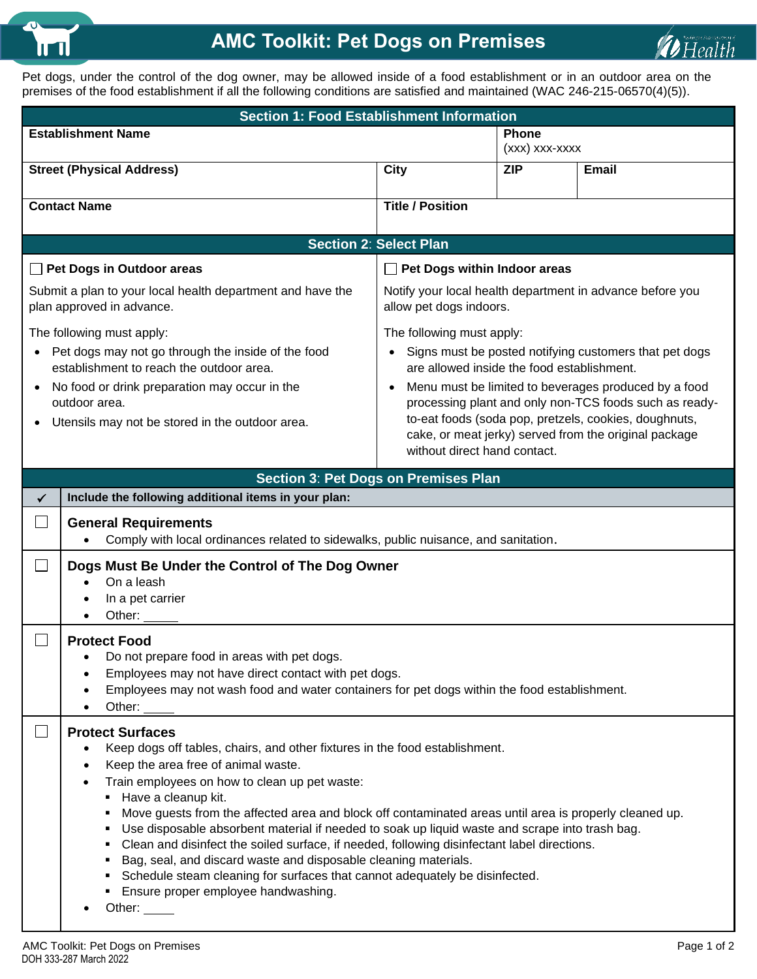

## **AMC Toolkit: Pet Dogs on Premises**



Pet dogs, under the control of the dog owner, may be allowed inside of a food establishment or in an outdoor area on the premises of the food establishment if all the following conditions are satisfied and maintained (WAC 246-215-06570(4)(5)).

| <b>Section 1: Food Establishment Information</b>                                                                                                                                                                                                      |                                                                                                                                                                                                                                                                                                                                                                                                                                                                                                                                                                                                                                                                                                                                                                           |                                                                                                                                                                                                                                                                                                                                                                                                                    |                                |              |  |
|-------------------------------------------------------------------------------------------------------------------------------------------------------------------------------------------------------------------------------------------------------|---------------------------------------------------------------------------------------------------------------------------------------------------------------------------------------------------------------------------------------------------------------------------------------------------------------------------------------------------------------------------------------------------------------------------------------------------------------------------------------------------------------------------------------------------------------------------------------------------------------------------------------------------------------------------------------------------------------------------------------------------------------------------|--------------------------------------------------------------------------------------------------------------------------------------------------------------------------------------------------------------------------------------------------------------------------------------------------------------------------------------------------------------------------------------------------------------------|--------------------------------|--------------|--|
| <b>Establishment Name</b>                                                                                                                                                                                                                             |                                                                                                                                                                                                                                                                                                                                                                                                                                                                                                                                                                                                                                                                                                                                                                           |                                                                                                                                                                                                                                                                                                                                                                                                                    | <b>Phone</b><br>(xxx) xxx-xxxx |              |  |
|                                                                                                                                                                                                                                                       | <b>Street (Physical Address)</b>                                                                                                                                                                                                                                                                                                                                                                                                                                                                                                                                                                                                                                                                                                                                          | <b>City</b>                                                                                                                                                                                                                                                                                                                                                                                                        | <b>ZIP</b>                     | <b>Email</b> |  |
| <b>Contact Name</b>                                                                                                                                                                                                                                   |                                                                                                                                                                                                                                                                                                                                                                                                                                                                                                                                                                                                                                                                                                                                                                           | <b>Title / Position</b>                                                                                                                                                                                                                                                                                                                                                                                            |                                |              |  |
|                                                                                                                                                                                                                                                       | <b>Section 2: Select Plan</b>                                                                                                                                                                                                                                                                                                                                                                                                                                                                                                                                                                                                                                                                                                                                             |                                                                                                                                                                                                                                                                                                                                                                                                                    |                                |              |  |
| $\mathsf{L}$                                                                                                                                                                                                                                          | Pet Dogs in Outdoor areas<br>Pet Dogs within Indoor areas                                                                                                                                                                                                                                                                                                                                                                                                                                                                                                                                                                                                                                                                                                                 |                                                                                                                                                                                                                                                                                                                                                                                                                    |                                |              |  |
|                                                                                                                                                                                                                                                       | Submit a plan to your local health department and have the<br>Notify your local health department in advance before you<br>plan approved in advance.<br>allow pet dogs indoors.                                                                                                                                                                                                                                                                                                                                                                                                                                                                                                                                                                                           |                                                                                                                                                                                                                                                                                                                                                                                                                    |                                |              |  |
| The following must apply:<br>Pet dogs may not go through the inside of the food<br>establishment to reach the outdoor area.<br>No food or drink preparation may occur in the<br>٠<br>outdoor area.<br>Utensils may not be stored in the outdoor area. |                                                                                                                                                                                                                                                                                                                                                                                                                                                                                                                                                                                                                                                                                                                                                                           | The following must apply:<br>Signs must be posted notifying customers that pet dogs<br>are allowed inside the food establishment.<br>Menu must be limited to beverages produced by a food<br>$\bullet$<br>processing plant and only non-TCS foods such as ready-<br>to-eat foods (soda pop, pretzels, cookies, doughnuts,<br>cake, or meat jerky) served from the original package<br>without direct hand contact. |                                |              |  |
|                                                                                                                                                                                                                                                       |                                                                                                                                                                                                                                                                                                                                                                                                                                                                                                                                                                                                                                                                                                                                                                           | Section 3: Pet Dogs on Premises Plan                                                                                                                                                                                                                                                                                                                                                                               |                                |              |  |
| Include the following additional items in your plan:<br>✓                                                                                                                                                                                             |                                                                                                                                                                                                                                                                                                                                                                                                                                                                                                                                                                                                                                                                                                                                                                           |                                                                                                                                                                                                                                                                                                                                                                                                                    |                                |              |  |
|                                                                                                                                                                                                                                                       | <b>General Requirements</b><br>Comply with local ordinances related to sidewalks, public nuisance, and sanitation.                                                                                                                                                                                                                                                                                                                                                                                                                                                                                                                                                                                                                                                        |                                                                                                                                                                                                                                                                                                                                                                                                                    |                                |              |  |
|                                                                                                                                                                                                                                                       | Dogs Must Be Under the Control of The Dog Owner<br>On a leash<br>In a pet carrier<br>Other:                                                                                                                                                                                                                                                                                                                                                                                                                                                                                                                                                                                                                                                                               |                                                                                                                                                                                                                                                                                                                                                                                                                    |                                |              |  |
|                                                                                                                                                                                                                                                       | <b>Protect Food</b><br>Do not prepare food in areas with pet dogs.<br>Employees may not have direct contact with pet dogs.<br>Employees may not wash food and water containers for pet dogs within the food establishment.<br>Other:                                                                                                                                                                                                                                                                                                                                                                                                                                                                                                                                      |                                                                                                                                                                                                                                                                                                                                                                                                                    |                                |              |  |
|                                                                                                                                                                                                                                                       | <b>Protect Surfaces</b><br>Keep dogs off tables, chairs, and other fixtures in the food establishment.<br>Keep the area free of animal waste.<br>Train employees on how to clean up pet waste:<br>Have a cleanup kit.<br>Move guests from the affected area and block off contaminated areas until area is properly cleaned up.<br>٠<br>Use disposable absorbent material if needed to soak up liquid waste and scrape into trash bag.<br>٠<br>Clean and disinfect the soiled surface, if needed, following disinfectant label directions.<br>٠<br>Bag, seal, and discard waste and disposable cleaning materials.<br>Schedule steam cleaning for surfaces that cannot adequately be disinfected.<br><b>Ensure proper employee handwashing.</b><br>Other: $\_\_\_\_\_\_\$ |                                                                                                                                                                                                                                                                                                                                                                                                                    |                                |              |  |